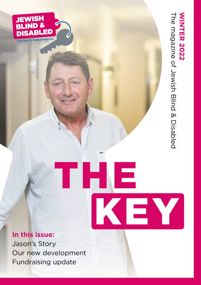

KEY

THE



JEWISH **BLIND &** 

**SABLED** 

The key to independence

Jason's Story Our new development Fundraising update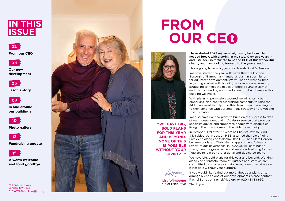### **FROM OUR CE**



**02**

**From our CEO**

**Our new development**

**Jason's story**

**A warm welcome and fond goodbye**

**In and around our buildings**

**Photo gallery**

I have started 2022 rejuvenated, having had a muchneeded break, with a spring in my step. Over two years in and I still feel so fortunate to be the CEO of this wonderful charity and I am looking forward to the year ahead.

This is going to be a big year for Jewish Blind & Disabled. We have started the year with news that the London Borough of Barnet has granted us planning permission for our latest development. We will not be wasting time in getting started with building work as we are currently struggling to meet the needs of people living in Barnet and the surrounding areas and know what a difference this building will make.

With planning permission secured we will shortly be embarking on a capital fundraising campaign to raise the £4.7m we need to fully fund this development enabling us to then continue with our ambitious strategy of growth and transformation.

If you would like to find out more about our plans or to arrange a visit to one of our developments please contact Rachel Barres on rachel@jbd.org or 020 4548 8692.



**Fundraising update 12**

We also have exciting plans to build on the success to date of our Independent Living Advisory service that provides specialist advice and support to people with disabilities living in their own homes in the wider community.



In October 2021 after 27 years as Chair of Jewish Blind & Disabled, John Joseph MBE assumed the role of joint President, alongside Malcolm Ozin MBE, and Marc Gordon became our latest Chair. Marc's appointment follows a review of our governance. In 2022 we will continue to strengthen our governance and we are advertising for new Trustees to join our professional and dedicated team.

We have big, bold plans for this year and beyond. Working alongside a fantastic team of Trustees and staff we are committed to do all we can. However, none of what we do is possible without your support.



Thank you.

**"WE HAVE BIG, BOLD PLANS FOR THIS YEAR AND BEYOND. NONE OF THIS IS POSSIBLE WITHOUT YOUR SUPPORT."**



Lisa Wimborne Chief Executive









35 Langstone Way, London, NW7 1GT 020 8371 6611 • info@jbd.org

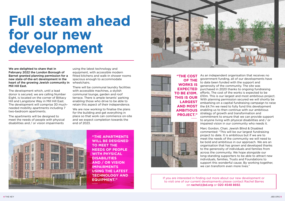## **Full steam ahead for our new development**



The development which, until a lead donor is secured, we are calling Number Eight, is located on the corner of Bittacy Hill and Langstone Way in Mill Hill East. The development will comprise 30 muchneeded mobility apartments including 7 two-bedroom apartments.

The apartments will be designed to meet the needs of people with physical disabilities and / or vision impairments

We are now working to finalise the plans for the building and get everything in place so that work can commence on-site and we expect completion towards the end of 2023.



using the latest technology and equipment, with accessible modern fitted kitchens and walk-in shower rooms spacious enough to accommodate wheelchairs.

There will be communal laundry facilities with accessible machines, a stylish communal lounge, garden and roof terrace. There is ample tenants' parking enabling those who drive to be able to retain this aspect of their independence.

> Marc Gordon, Chair, Jewish Blind & Disabled commented: "This will be our largest fundraising project to date. It is ambitious but if we are to meet the needs of the community we will need to be bold and ambitious in our approach. We are an organisation that has grown and developed thanks to the generosity of individuals and families from across the community. We hope alongside our long-standing supporters to be able to attract new individuals, families, Trusts and Foundations to support this wonderful cause. By working together, we can transform even more lives."

As an independent organisation that receives no government funding, all of our developments have to date been funded with the support and generosity of the community. The site was purchased in 2020 thanks to ongoing fundraising efforts. The cost of the works is expected to be £10m. This is our largest and most ambitious project. With planning permission secured we will shortly be embarking on a capital fundraising campaign to raise the £4.7m we need to fully fund this development enabling us to then continue with our ambitious strategy of growth and transformation and commitment to ensure that we can provide support to anyone living with physical disabilities and / or impaired vision in our community who needs it.

**"THE APARTMENTS WILL BE DESIGNED TO MEET THE NEEDS OF PEOPLE WITH PHYSICAL DISABILITIES AND / OR VISION IMPAIRMENTS USING THE LATEST TECHNOLOGY AND EQUIPMENT."**



**"THE COST OF THE WORKS IS EXPECTED TO BE £10M. THIS IS OUR LARGEST AND MOST AMBITIOUS PROJECT."**

**CONISTON COURT** 

If you are interested in finding out more about our new development or to visit one of our current developments please contact Rachel Barres on rachel@jbd.org or 020 4548 8692.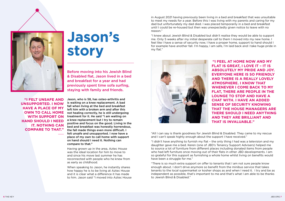### **Jason's story**

Jason, who is 58, has osteo-arthritis and is waiting on a knee replacement. A bad fall when living at the bed and breakfast left him with a broken arm and after this not healing correctly, he is still undergoing treatment for it. He said "I am waiting on a knee replacement but I try to remain positive and focus on the good. Living in the bed and breakfast was honestly horrendous, the fall made things even more difficult. I felt unsafe and unsupported. I now have a place of my own to call home with support on hand should I need it. Nothing can compare to that."

Having grown up in the area, Aztec House was the ideal location for him to move to and since his move last summer he has reconnected with people who he knew from as early as childhood.

When speaking to Jason, he instantly shares how happy he is to be living at Aztec House and it is clear what a difference it has made to him. Jason said "I moved into Aztec House "I didn't have anything to furnish my flat – the only thing I had was a television and my daughter gave me a bed. Keren (one of JBD's Tenancy Support Advisers) helped me to source a lot of furniture from different places including donated items from people who had left furniture once moving out of their flats in other JBD developments. I am so grateful for this support as furnishing a whole home whilst living on benefits would have been a struggle for me."

Before moving into his Jewish Blind & Disabled flat, Jason lived in a bed and breakfast for a year and had previously spent time sofa surfing, staying with family and friends.

**"I FEEL AT HOME NOW AND MY FLAT IS GREAT, I LOVE IT – IT IS ABSOLUTELY MY PRIDE AND JOY. EVERYONE HERE IS SO FRIENDLY AND THERE IS A REALLY LOVELY ATMOSPHERE. I KNOW THAT WHENEVER I COME BACK TO MY FLAT, THERE ARE PEOPLE IN THE LOUNGE TO STOP AND HAVE A CHAT WITH. I HAVE AN ADDED SENSE OF SECURITY KNOWING THAT THE HOUSE MANAGERS ARE THERE SHOULD I NEED ANYTHING AND THEY ARE BRILLIANT AND THAT IS INVALUABLE."**





**"I FELT UNSAFE AND UNSUPPORTED. I NOW HAVE A PLACE OF MY OWN TO CALL HOME WITH SUPPORT ON HAND SHOULD I NEED IT. NOTHING CAN COMPARE TO THAT."**

"All I can say is thank goodness for Jewish Blind & Disabled. They came to my rescue and I can't speak highly enough about the support I have received."

"There is so much extra support on offer to tenants that I am not sure people know enough about. I don't drive anymore so benefit from the minibus service that takes tenants to the local supermarket or kosher shops as and when I need it. I try and be as independent as possible, that's important to me and that's what I am able to be thanks to Jewish Blind & Disabled."

in August 2021 having previously been living in a bed and breakfast that was unsuitable to meet my needs for a year. Before this I was living with my parents and caring for my dad but unfortunately my dad died. I was placed temporarily in a bed and breakfast until I could be re-housed but then was unexpectedly given notice to leave with no reason."

"I knew about Jewish Blind & Disabled but didn't realise they would be able to support me. Only 5 weeks after my initial desperate call to them I moved into my new home. I feel like I have a sense of security now, I have a proper home, support to hand should I for example have another fall. I'm happy, I am safe, I'm laid back and I take huge pride in my flat."

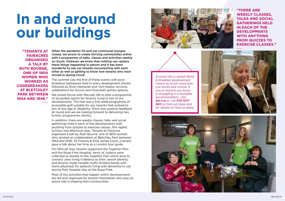## **In and around our buildings**

When the pandemic hit and our communal lounges closed, we strove to create thriving communities online with a programme of talks, classes and activities weekly on Zoom. However, we know that nothing can replace these things happening in person and it has been wonderful to see our tenants reconnecting with each other as well as getting to know new tenants who have moved in during Covid.

The summer saw the first of these events with postlockdown barbeques held in every development shortly followed by Rosh Hashanah and Yom Kippur services, celebrations for Succot and Chanukah parties aplenty.

We joined forces with Maccabi GB to pilot a programme of accessible sports for tenants living in two of our developments. The trial was a five-week programme of accessible golf suitable for any tenants that wished to join of any age or disability. There was positive feedback all round and we are looking forward to delivering two further programmes shortly.

In addition, there are weekly classes, talks and social gatherings held in each of the developments with anything from quizzes to exercise classes, film nights, lunches and afternoon teas. Tenants at Fairacres organised a talk by Ruth Bourne, one of 1800 women who worked as codebreakers at Bletchley Park between 1944 and 1946. At Frances & Dick James Court, a tenant gave a talk about her time as a London tour guide.

For Mitzvah Day, tenants supported the Together Plan and the Royal Free Hospital. Items of Judaica were collected to donate to the Together Plan which aims to connect Jews living in Belarus to their Jewish identity, and tenants made twiddle muffs (knitted bands with items attached) for patients living with dementia to use during their hospital stay at the Royal Free.

Most of the activities that happen within developments are led and organised by tenants themselves who play an active role in shaping their communities.





**"TENANTS AT FAIRACRES ORGANISED A TALK BY RUTH BOURNE, ONE OF 1800 WOMEN WHO WORKED AS CODEBREAKERS AT BLETCHLEY PARK BETWEEN 1944 AND 1946."**

A move into a Jewish Blind & Disabled development means so much more than just bricks and mortar. If you or anyone you know is struggling in unsuitable accommodation, visit ibd.org or call 020 8371 6611 to find out more and for details on how to apply.



**"THERE ARE WEEKLY CLASSES, TALKS AND SOCIAL GATHERINGS HELD IN EACH OF THE DEVELOPMENTS WITH ANYTHING FROM QUIZZES TO EXERCISE CLASSES."**

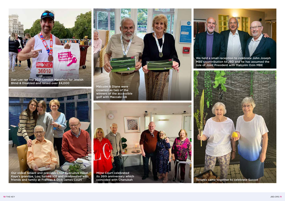10 N F

Dan Lee ran the 2021 London Marathon for Jewish Blind & Disabled and raised over £4,000



Our oldest tenant and previous Chief Execuitve Hazel Kaye's grandpa, Lou, turned 105 and celebreated with friends and family at Frances & Dick James Court



We held a small reception to celebrate John Joseph MBE's contribution to JBD and he has assumed the role of Joint President with Malcolm Ozin MBE

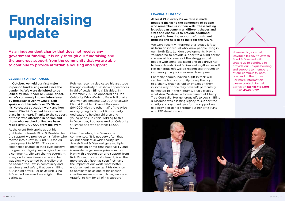# **Fundraising update**

As an independent charity that does not receive any government funding, it is only through our fundraising and the generous support from the community that we are able to continue to provide affordable housing and support.

In October, we held our first major in-person fundraising event since the pandemic. We were delighted to be joined by Rob Rinder or Judge Rinder, as he's commonly known. Interviewed by broadcaster Jonny Gould; Rob spoke about his infamous TV Show, his Holocaust education work and how Jewish Blind & Disabled has a special place in his heart. Thanks to the support of those who attended in person and those who watched online, we have raised over £100,000 from the event.

At the event Rob spoke about his gratitude to Jewish Blind & Disabled for the support we provide to his father who moved into a Jewish Blind & Disabled development in 2020. "Those who experience change in their lives deserve the greatest dignity we can give them as a community. Life can change overnight, in my dad's case illness came and he was slowly presented by a reality that he needed the Jewish community and sanctuary and safety that Jewish Blind & Disabled offers. For us Jewish Blind & Disabled were and are a light in the darkness."

Rob has recently dedicated his gratitude through celebrity quiz show appearances in aid of Jewish Blind & Disabled. In November 2021, he appeared on ITV's Celebrity Who Wants to Be A Millionaire and won an amazing £32,000 for Jewish Blind & Disabled. Overall Rob won £64,000 with the other half of the prize money going to Buttle UK – a charity dedicated to helping children and young people in crisis. Adding to this in December, Rob appeared on Celebrity Quizness and won another £5,000 for us.

Chief Executive, Lisa Wimborne commented: "It is not very often that an independent Jewish charity like Jewish Blind & Disabled gets multiple mentions on prime-time national TV and is awarded a generous prize sum too. Having this recognition and support from Rob Rinder, the son of a tenant, is all the more special. Rob has seen first-hand the impact of our work, what better endorsement can we get? His decision to nominate us as one of his chosen charities means so much to us, we are so grateful to him for all of his support."

### **LEAVING A LEGACY**

At least £1 in every £3 we raise is made possible thanks to the generosity of people who remember us in their wills. These lasting legacies can come in all different shapes and sizes and enable us to provide additional support to tenants, support refurbishment projects and help us to build for the future.

We were recently informed of a legacy left to us from an individual who knew people living in our North East London developments. Having volunteered to provide support to a blind person she was all too aware of the struggles that people with sight loss faced and this drove her to leave Jewish Blind & Disabled a gift in her will. Her generous gift will be recognised through an in-memory plaque in our new development.

For many people, leaving a gift in their will can be the last opportunity to say thank you to a charity that has had an impact on them in some way or one they have felt particularly connected to in their lifetime. That's exactly what Ann Meisbiser, a former tenant at Cherry Tree Court did. Her generous gift to Jewish Blind & Disabled was a lasting legacy to support the charity and say thank you for the support we had provided to her throughout her time living at a JBD development.



However big or small, leaving a legacy to Jewish Blind & Disabled will enable us to continue to provide our unique housing and support to members of our community both now and in the future. For more information please contact Rachel Barres on rachel@jbd.org or 020 4548 8692.

### **CELEBRITY APPEARANCES**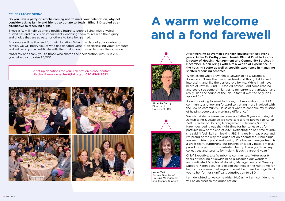### **A warm welcome and a fond farewell**

### **CELEBRATORY GIVING**

Do you have a party or simcha coming up? To mark your celebration, why not consider asking family and friends to donate to Jewish Blind & Disabled as an alternative to receiving a gift.

These gifts will help us give a positive future to people living with physical disabilities and / or vision impairments, enabling them to live with the dignity and choice that are so easy for others to take for granted.

All donors will be thanked for their donation. When the date of your celebration arrives, we will notify you of who has donated without disclosing individual amounts and will send you a certificate with the total amount raised to mark the occasion.

Mazel tov and thank you to those who shared their celebration with us in 2021, you helped us to raise £5,000.

After working at Women's Pioneer Housing for just over 6 years, Aidan McCarthy joined Jewish Blind & Disabled as our Director of Housing Management and Community Services in December. Aidan brings with him a wealth of experience in the housing sector as well as specific experience in managing sheltered housing schemes.

When asked what drew him to Jewish Blind & Disabled, Aidan said: "I saw the role advertised and thought it looked interesting and like the perfect role for me. While I had never heard of Jewish Blind & Disabled before, I did some reading and could see some similarities to my current organisation and really liked the sound of the job. In fact, it was the only job I applied for."

To set up donations for your celebration please contact Rachel Barres on rachel@jbd.org or 020 4548 8692.



Aidan is looking forward to finding out more about the JBD community and looking forward to getting more involved with the Jewish community. He said: "I want to continue my mission of helping people and making a difference."

We wish Aidan a warm welcome and after 9 years working at Jewish Blind & Disabled we have said a fond farewell to Karen Zeff, Director of Housing Management & Tenancy Support. Karen decided it was the right time for her to leave us for pastures new at the end of 2021. Reflecting on her time at JBD, she said "I feel like I am leaving JBD in a really great place and I'm proud of the way the organisation operates; our buildings are warm, friendly and welcoming. Our house manager team is a great team, supporting our tenants on a daily basis. I'm truly proud to be part of this fantastic charity. Thank you to all my colleagues and tenants for making it such a great 9 years."

Chief Executive, Lisa Wimborne commented: "After over 9 years of working at Jewish Blind & Disabled our wonderful and dedicated Director of Housing Management and Tenancy Support, Karen Zeff, has decided that now is the right time for her to pursue new challenges. She will be missed, a huge thank you to her for her significant contribution to JBD.

I am delighted to welcome Aidan McCarthy, I am confident he will be an asset to the organisation."



Aidan McCarthy Director of Housing at JBD



Karen Zeff Former Director of Housing Management and Tenancy Support